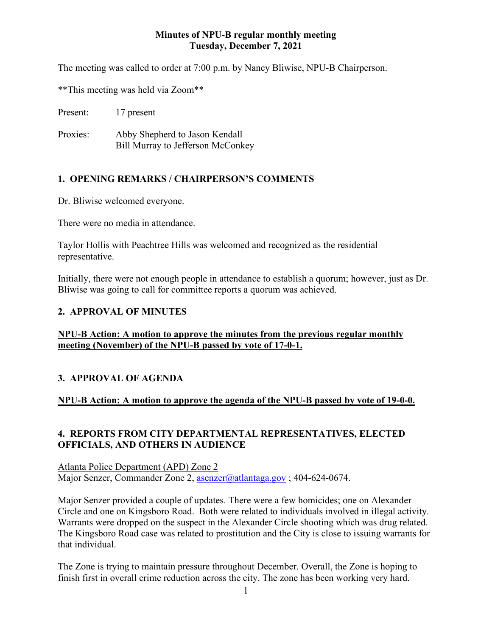#### **Minutes of NPU-B regular monthly meeting Tuesday, December 7, 2021**

The meeting was called to order at 7:00 p.m. by Nancy Bliwise, NPU-B Chairperson.

\*\*This meeting was held via Zoom\*\*

Present: 17 present

Proxies: Abby Shepherd to Jason Kendall Bill Murray to Jefferson McConkey

# **1. OPENING REMARKS / CHAIRPERSON'S COMMENTS**

Dr. Bliwise welcomed everyone.

There were no media in attendance.

Taylor Hollis with Peachtree Hills was welcomed and recognized as the residential representative.

Initially, there were not enough people in attendance to establish a quorum; however, just as Dr. Bliwise was going to call for committee reports a quorum was achieved.

#### **2. APPROVAL OF MINUTES**

**NPU-B Action: A motion to approve the minutes from the previous regular monthly meeting (November) of the NPU-B passed by vote of 17-0-1.**

#### **3. APPROVAL OF AGENDA**

#### **NPU-B Action: A motion to approve the agenda of the NPU-B passed by vote of 19-0-0.**

## **4. REPORTS FROM CITY DEPARTMENTAL REPRESENTATIVES, ELECTED OFFICIALS, AND OTHERS IN AUDIENCE**

Atlanta Police Department (APD) Zone 2 Major Senzer, Commander Zone 2, [asenzer@atlantaga.gov](mailto:asenzer@atlantaga.gov) ; 404-624-0674.

Major Senzer provided a couple of updates. There were a few homicides; one on Alexander Circle and one on Kingsboro Road. Both were related to individuals involved in illegal activity. Warrants were dropped on the suspect in the Alexander Circle shooting which was drug related. The Kingsboro Road case was related to prostitution and the City is close to issuing warrants for that individual.

The Zone is trying to maintain pressure throughout December. Overall, the Zone is hoping to finish first in overall crime reduction across the city. The zone has been working very hard.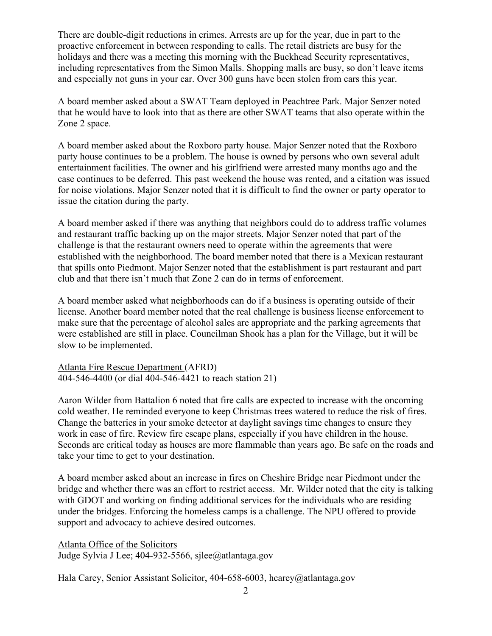There are double-digit reductions in crimes. Arrests are up for the year, due in part to the proactive enforcement in between responding to calls. The retail districts are busy for the holidays and there was a meeting this morning with the Buckhead Security representatives, including representatives from the Simon Malls. Shopping malls are busy, so don't leave items and especially not guns in your car. Over 300 guns have been stolen from cars this year.

A board member asked about a SWAT Team deployed in Peachtree Park. Major Senzer noted that he would have to look into that as there are other SWAT teams that also operate within the Zone 2 space.

A board member asked about the Roxboro party house. Major Senzer noted that the Roxboro party house continues to be a problem. The house is owned by persons who own several adult entertainment facilities. The owner and his girlfriend were arrested many months ago and the case continues to be deferred. This past weekend the house was rented, and a citation was issued for noise violations. Major Senzer noted that it is difficult to find the owner or party operator to issue the citation during the party.

A board member asked if there was anything that neighbors could do to address traffic volumes and restaurant traffic backing up on the major streets. Major Senzer noted that part of the challenge is that the restaurant owners need to operate within the agreements that were established with the neighborhood. The board member noted that there is a Mexican restaurant that spills onto Piedmont. Major Senzer noted that the establishment is part restaurant and part club and that there isn't much that Zone 2 can do in terms of enforcement.

A board member asked what neighborhoods can do if a business is operating outside of their license. Another board member noted that the real challenge is business license enforcement to make sure that the percentage of alcohol sales are appropriate and the parking agreements that were established are still in place. Councilman Shook has a plan for the Village, but it will be slow to be implemented.

Atlanta Fire Rescue Department (AFRD) 404-546-4400 (or dial 404-546-4421 to reach station 21)

Aaron Wilder from Battalion 6 noted that fire calls are expected to increase with the oncoming cold weather. He reminded everyone to keep Christmas trees watered to reduce the risk of fires. Change the batteries in your smoke detector at daylight savings time changes to ensure they work in case of fire. Review fire escape plans, especially if you have children in the house. Seconds are critical today as houses are more flammable than years ago. Be safe on the roads and take your time to get to your destination.

A board member asked about an increase in fires on Cheshire Bridge near Piedmont under the bridge and whether there was an effort to restrict access. Mr. Wilder noted that the city is talking with GDOT and working on finding additional services for the individuals who are residing under the bridges. Enforcing the homeless camps is a challenge. The NPU offered to provide support and advocacy to achieve desired outcomes.

Atlanta Office of the Solicitors Judge Sylvia J Lee; 404-932-5566, sjlee@atlantaga.gov

Hala Carey, Senior Assistant Solicitor, 404-658-6003, hcarey@atlantaga.gov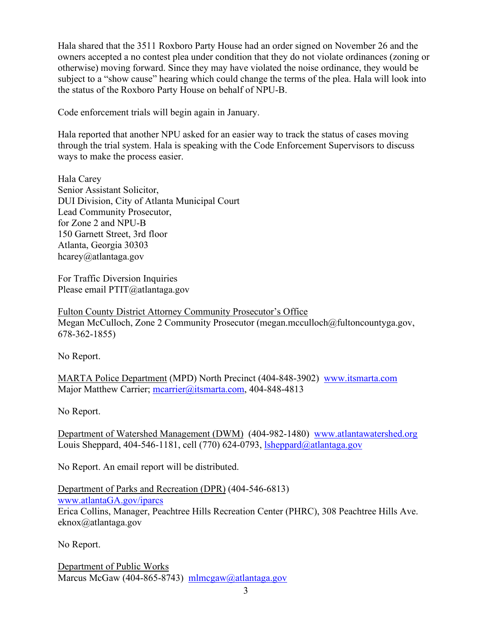Hala shared that the 3511 Roxboro Party House had an order signed on November 26 and the owners accepted a no contest plea under condition that they do not violate ordinances (zoning or otherwise) moving forward. Since they may have violated the noise ordinance, they would be subject to a "show cause" hearing which could change the terms of the plea. Hala will look into the status of the Roxboro Party House on behalf of NPU-B.

Code enforcement trials will begin again in January.

Hala reported that another NPU asked for an easier way to track the status of cases moving through the trial system. Hala is speaking with the Code Enforcement Supervisors to discuss ways to make the process easier.

Hala Carey Senior Assistant Solicitor, DUI Division, City of Atlanta Municipal Court Lead Community Prosecutor, for Zone 2 and NPU-B 150 Garnett Street, 3rd floor Atlanta, Georgia 30303 hcarey@atlantaga.gov

For Traffic Diversion Inquiries Please email PTIT@atlantaga.gov

Fulton County District Attorney Community Prosecutor's Office Megan McCulloch, Zone 2 Community Prosecutor (megan.mcculloch@fultoncountyga.gov, 678-362-1855)

No Report.

MARTA Police Department (MPD) North Precinct (404-848-3902) [www.itsmarta.com](http://www.itsmarta.com/) Major Matthew Carrier; [mcarrier@itsmarta.com,](mailto:mcarrier@itsmarta.com) 404-848-4813

No Report.

Department of Watershed Management (DWM) (404-982-1480) [www.atlantawatershed.org](http://www.atlantawatershed.org/) Louis Sheppard, 404-546-1181, cell (770) 624-0793, [lsheppard@atlantaga.gov](mailto:lsheppard@atlantaga.gov)

No Report. An email report will be distributed.

Department of Parks and Recreation (DPR) (404-546-6813) [www.atlantaGA.gov/iparcs](http://www.atlantaga.gov/iparcs) Erica Collins, Manager, Peachtree Hills Recreation Center (PHRC), 308 Peachtree Hills Ave. eknox@atlantaga.gov

No Report.

Department of Public Works Marcus McGaw (404-865-8743) [mlmcgaw@atlantaga.gov](mailto:mlmcgaw@atlantaga.gov)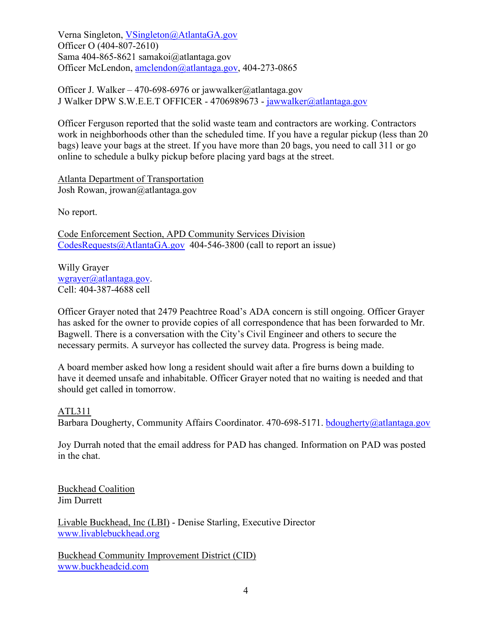Verna Singleton, [VSingleton@AtlantaGA.gov](mailto:VSingleton@AtlantaGA.gov) Officer O (404-807-2610) Sama 404-865-8621 samakoi@atlantaga.gov Officer McLendon, [amclendon@atlantaga.gov,](mailto:amclendon@atlantaga.gov) 404-273-0865

Officer J. Walker – 470-698-6976 or jawwalker@atlantaga.gov J Walker DPW S.W.E.E.T OFFICER - 4706989673 - [jawwalker@atlantaga.gov](mailto:jawwalker@atlantaga.gov)

Officer Ferguson reported that the solid waste team and contractors are working. Contractors work in neighborhoods other than the scheduled time. If you have a regular pickup (less than 20 bags) leave your bags at the street. If you have more than 20 bags, you need to call 311 or go online to schedule a bulky pickup before placing yard bags at the street.

Atlanta Department of Transportation Josh Rowan, jrowan@atlantaga.gov

No report.

Code Enforcement Section, APD Community Services Division [CodesRequests@AtlantaGA.gov](mailto:CodesRequests@AtlantaGA.gov) 404-546-3800 (call to report an issue)

Willy Grayer [wgrayer@atlantaga.gov.](mailto:wgrayer@atlantaga.gov) Cell: 404-387-4688 cell

Officer Grayer noted that 2479 Peachtree Road's ADA concern is still ongoing. Officer Grayer has asked for the owner to provide copies of all correspondence that has been forwarded to Mr. Bagwell. There is a conversation with the City's Civil Engineer and others to secure the necessary permits. A surveyor has collected the survey data. Progress is being made.

A board member asked how long a resident should wait after a fire burns down a building to have it deemed unsafe and inhabitable. Officer Grayer noted that no waiting is needed and that should get called in tomorrow.

#### ATL311

Barbara Dougherty, Community Affairs Coordinator. 470-698-5171. [bdougherty@atlantaga.gov](mailto:bdougherty@atlantaga.gov)

Joy Durrah noted that the email address for PAD has changed. Information on PAD was posted in the chat.

Buckhead Coalition Jim Durrett

Livable Buckhead, Inc (LBI) - Denise Starling, Executive Director [www.livablebuckhead.org](http://www.livablebuckhead.org/)

Buckhead Community Improvement District (CID) [www.buckheadcid.com](http://www.buckheadcid.com/)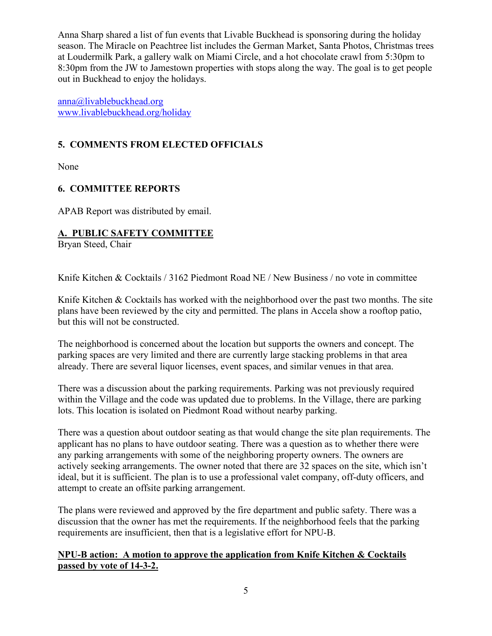Anna Sharp shared a list of fun events that Livable Buckhead is sponsoring during the holiday season. The Miracle on Peachtree list includes the German Market, Santa Photos, Christmas trees at Loudermilk Park, a gallery walk on Miami Circle, and a hot chocolate crawl from 5:30pm to 8:30pm from the JW to Jamestown properties with stops along the way. The goal is to get people out in Buckhead to enjoy the holidays.

[anna@livablebuckhead.org](mailto:anna@livablebuckhead.org) [www.livablebuckhead.org/holiday](http://www.livablebuckhead.org/holiday)

# **5. COMMENTS FROM ELECTED OFFICIALS**

None

## **6. COMMITTEE REPORTS**

APAB Report was distributed by email.

# **A. PUBLIC SAFETY COMMITTEE**

Bryan Steed, Chair

Knife Kitchen & Cocktails / 3162 Piedmont Road NE / New Business / no vote in committee

Knife Kitchen & Cocktails has worked with the neighborhood over the past two months. The site plans have been reviewed by the city and permitted. The plans in Accela show a rooftop patio, but this will not be constructed.

The neighborhood is concerned about the location but supports the owners and concept. The parking spaces are very limited and there are currently large stacking problems in that area already. There are several liquor licenses, event spaces, and similar venues in that area.

There was a discussion about the parking requirements. Parking was not previously required within the Village and the code was updated due to problems. In the Village, there are parking lots. This location is isolated on Piedmont Road without nearby parking.

There was a question about outdoor seating as that would change the site plan requirements. The applicant has no plans to have outdoor seating. There was a question as to whether there were any parking arrangements with some of the neighboring property owners. The owners are actively seeking arrangements. The owner noted that there are 32 spaces on the site, which isn't ideal, but it is sufficient. The plan is to use a professional valet company, off-duty officers, and attempt to create an offsite parking arrangement.

The plans were reviewed and approved by the fire department and public safety. There was a discussion that the owner has met the requirements. If the neighborhood feels that the parking requirements are insufficient, then that is a legislative effort for NPU-B.

#### **NPU-B action: A motion to approve the application from Knife Kitchen & Cocktails passed by vote of 14-3-2.**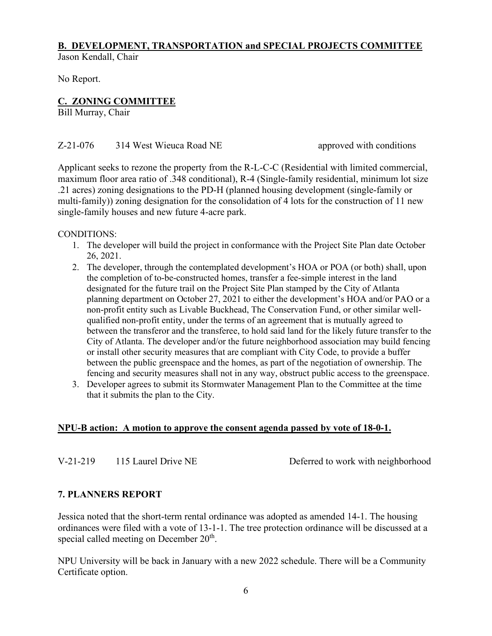# **B. DEVELOPMENT, TRANSPORTATION and SPECIAL PROJECTS COMMITTEE**

Jason Kendall, Chair

No Report.

## **C. ZONING COMMITTEE**

Bill Murray, Chair

#### Z-21-076 314 West Wieuca Road NE approved with conditions

Applicant seeks to rezone the property from the R-L-C-C (Residential with limited commercial, maximum floor area ratio of .348 conditional), R-4 (Single-family residential, minimum lot size .21 acres) zoning designations to the PD-H (planned housing development (single-family or multi-family)) zoning designation for the consolidation of 4 lots for the construction of 11 new single-family houses and new future 4-acre park.

CONDITIONS:

- 1. The developer will build the project in conformance with the Project Site Plan date October 26, 2021.
- 2. The developer, through the contemplated development's HOA or POA (or both) shall, upon the completion of to-be-constructed homes, transfer a fee-simple interest in the land designated for the future trail on the Project Site Plan stamped by the City of Atlanta planning department on October 27, 2021 to either the development's HOA and/or PAO or a non-profit entity such as Livable Buckhead, The Conservation Fund, or other similar wellqualified non-profit entity, under the terms of an agreement that is mutually agreed to between the transferor and the transferee, to hold said land for the likely future transfer to the City of Atlanta. The developer and/or the future neighborhood association may build fencing or install other security measures that are compliant with City Code, to provide a buffer between the public greenspace and the homes, as part of the negotiation of ownership. The fencing and security measures shall not in any way, obstruct public access to the greenspace.
- 3. Developer agrees to submit its Stormwater Management Plan to the Committee at the time that it submits the plan to the City.

#### **NPU-B action: A motion to approve the consent agenda passed by vote of 18-0-1.**

V-21-219 115 Laurel Drive NE Deferred to work with neighborhood

#### **7. PLANNERS REPORT**

Jessica noted that the short-term rental ordinance was adopted as amended 14-1. The housing ordinances were filed with a vote of 13-1-1. The tree protection ordinance will be discussed at a special called meeting on December 20<sup>th</sup>.

NPU University will be back in January with a new 2022 schedule. There will be a Community Certificate option.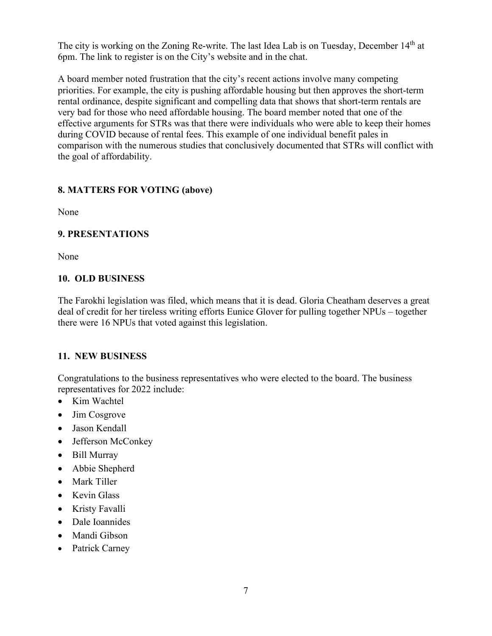The city is working on the Zoning Re-write. The last Idea Lab is on Tuesday, December 14<sup>th</sup> at 6pm. The link to register is on the City's website and in the chat.

A board member noted frustration that the city's recent actions involve many competing priorities. For example, the city is pushing affordable housing but then approves the short-term rental ordinance, despite significant and compelling data that shows that short-term rentals are very bad for those who need affordable housing. The board member noted that one of the effective arguments for STRs was that there were individuals who were able to keep their homes during COVID because of rental fees. This example of one individual benefit pales in comparison with the numerous studies that conclusively documented that STRs will conflict with the goal of affordability.

## **8. MATTERS FOR VOTING (above)**

None

## **9. PRESENTATIONS**

None

#### **10. OLD BUSINESS**

The Farokhi legislation was filed, which means that it is dead. Gloria Cheatham deserves a great deal of credit for her tireless writing efforts Eunice Glover for pulling together NPUs – together there were 16 NPUs that voted against this legislation.

# **11. NEW BUSINESS**

Congratulations to the business representatives who were elected to the board. The business representatives for 2022 include:

- Kim Wachtel
- Jim Cosgrove
- Jason Kendall
- Jefferson McConkey
- Bill Murray
- Abbie Shepherd
- Mark Tiller
- Kevin Glass
- Kristy Favalli
- Dale Ioannides
- Mandi Gibson
- Patrick Carney